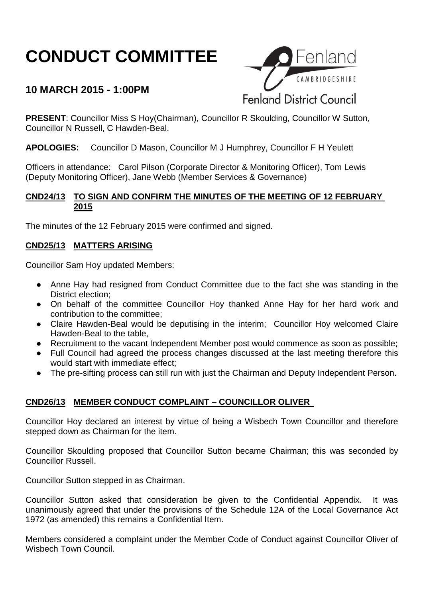# **CONDUCT COMMITTEE**

# **10 MARCH 2015 - 1:00PM**



**PRESENT**: Councillor Miss S Hoy(Chairman), Councillor R Skoulding, Councillor W Sutton, Councillor N Russell, C Hawden-Beal.

**APOLOGIES:** Councillor D Mason, Councillor M J Humphrey, Councillor F H Yeulett

Officers in attendance: Carol Pilson (Corporate Director & Monitoring Officer), Tom Lewis (Deputy Monitoring Officer), Jane Webb (Member Services & Governance)

#### **CND24/13 TO SIGN AND CONFIRM THE MINUTES OF THE MEETING OF 12 FEBRUARY 2015**

The minutes of the 12 February 2015 were confirmed and signed.

### **CND25/13 MATTERS ARISING**

Councillor Sam Hoy updated Members:

- Anne Hay had resigned from Conduct Committee due to the fact she was standing in the District election;
- On behalf of the committee Councillor Hoy thanked Anne Hay for her hard work and contribution to the committee;
- Claire Hawden-Beal would be deputising in the interim; Councillor Hoy welcomed Claire Hawden-Beal to the table,
- Recruitment to the vacant Independent Member post would commence as soon as possible;
- Full Council had agreed the process changes discussed at the last meeting therefore this would start with immediate effect;
- The pre-sifting process can still run with just the Chairman and Deputy Independent Person.

## **CND26/13 MEMBER CONDUCT COMPLAINT – COUNCILLOR OLIVER**

Councillor Hoy declared an interest by virtue of being a Wisbech Town Councillor and therefore stepped down as Chairman for the item.

Councillor Skoulding proposed that Councillor Sutton became Chairman; this was seconded by Councillor Russell.

Councillor Sutton stepped in as Chairman.

Councillor Sutton asked that consideration be given to the Confidential Appendix. It was unanimously agreed that under the provisions of the Schedule 12A of the Local Governance Act 1972 (as amended) this remains a Confidential Item.

Members considered a complaint under the Member Code of Conduct against Councillor Oliver of Wisbech Town Council.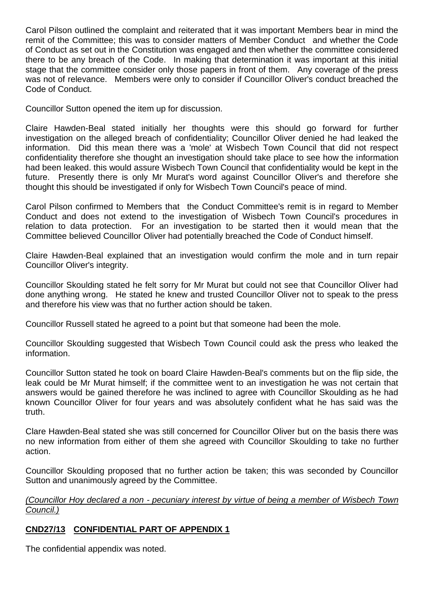Carol Pilson outlined the complaint and reiterated that it was important Members bear in mind the remit of the Committee; this was to consider matters of Member Conduct and whether the Code of Conduct as set out in the Constitution was engaged and then whether the committee considered there to be any breach of the Code. In making that determination it was important at this initial stage that the committee consider only those papers in front of them. Any coverage of the press was not of relevance. Members were only to consider if Councillor Oliver's conduct breached the Code of Conduct.

Councillor Sutton opened the item up for discussion.

Claire Hawden-Beal stated initially her thoughts were this should go forward for further investigation on the alleged breach of confidentiality; Councillor Oliver denied he had leaked the information. Did this mean there was a 'mole' at Wisbech Town Council that did not respect confidentiality therefore she thought an investigation should take place to see how the information had been leaked. this would assure Wisbech Town Council that confidentiality would be kept in the future. Presently there is only Mr Murat's word against Councillor Oliver's and therefore she thought this should be investigated if only for Wisbech Town Council's peace of mind.

Carol Pilson confirmed to Members that the Conduct Committee's remit is in regard to Member Conduct and does not extend to the investigation of Wisbech Town Council's procedures in relation to data protection. For an investigation to be started then it would mean that the Committee believed Councillor Oliver had potentially breached the Code of Conduct himself.

Claire Hawden-Beal explained that an investigation would confirm the mole and in turn repair Councillor Oliver's integrity.

Councillor Skoulding stated he felt sorry for Mr Murat but could not see that Councillor Oliver had done anything wrong. He stated he knew and trusted Councillor Oliver not to speak to the press and therefore his view was that no further action should be taken.

Councillor Russell stated he agreed to a point but that someone had been the mole.

Councillor Skoulding suggested that Wisbech Town Council could ask the press who leaked the information.

Councillor Sutton stated he took on board Claire Hawden-Beal's comments but on the flip side, the leak could be Mr Murat himself; if the committee went to an investigation he was not certain that answers would be gained therefore he was inclined to agree with Councillor Skoulding as he had known Councillor Oliver for four years and was absolutely confident what he has said was the truth.

Clare Hawden-Beal stated she was still concerned for Councillor Oliver but on the basis there was no new information from either of them she agreed with Councillor Skoulding to take no further action.

Councillor Skoulding proposed that no further action be taken; this was seconded by Councillor Sutton and unanimously agreed by the Committee.

*(Councillor Hoy declared a non - pecuniary interest by virtue of being a member of Wisbech Town Council.)*

#### **CND27/13 CONFIDENTIAL PART OF APPENDIX 1**

The confidential appendix was noted.